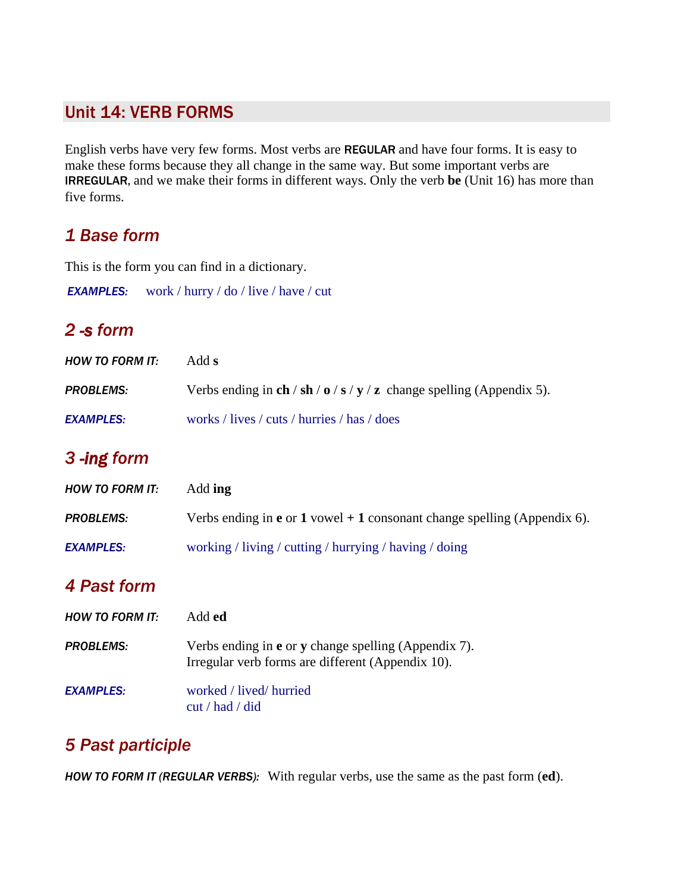#### Unit 14: VERB FORMS

English verbs have very few forms. Most verbs are REGULAR and have four forms. It is easy to make these forms because they all change in the same way. But some important verbs are IRREGULAR, and we make their forms in different ways. Only the verb **be** (Unit 16) has more than five forms.

#### *1 Base form*

This is the form you can find in a dictionary.

*EXAMPLES:* work / hurry / do / live / have / cut

## *2 -s form*

| <b>HOW TO FORM IT:</b> | Add s                                                                 |
|------------------------|-----------------------------------------------------------------------|
| <b>PROBLEMS:</b>       | Verbs ending in ch / sh / o / s / y / z change spelling (Appendix 5). |
| <b>EXAMPLES:</b>       | works / lives / cuts / hurries / has / does                           |

## *3 -ing form*

| <b>HOW TO FORM IT:</b> | Add ing                                                                         |
|------------------------|---------------------------------------------------------------------------------|
| <b>PROBLEMS:</b>       | Verbs ending in <b>e</b> or 1 vowel + 1 consonant change spelling (Appendix 6). |
| <b>EXAMPLES:</b>       | working / living / cutting / hurrying / having / doing                          |

## *4 Past form*

| <b>HOW TO FORM IT:</b> | Add <b>ed</b>                                                                                                           |
|------------------------|-------------------------------------------------------------------------------------------------------------------------|
| <b>PROBLEMS:</b>       | Verbs ending in <b>e</b> or <b>y</b> change spelling (Appendix 7).<br>Irregular verb forms are different (Appendix 10). |
| <b>EXAMPLES:</b>       | worked / lived/ hurried<br>cut / had / did                                                                              |

# *5 Past participle*

*HOW TO FORM IT (REGULAR VERBS):* With regular verbs, use the same as the past form (**ed**).